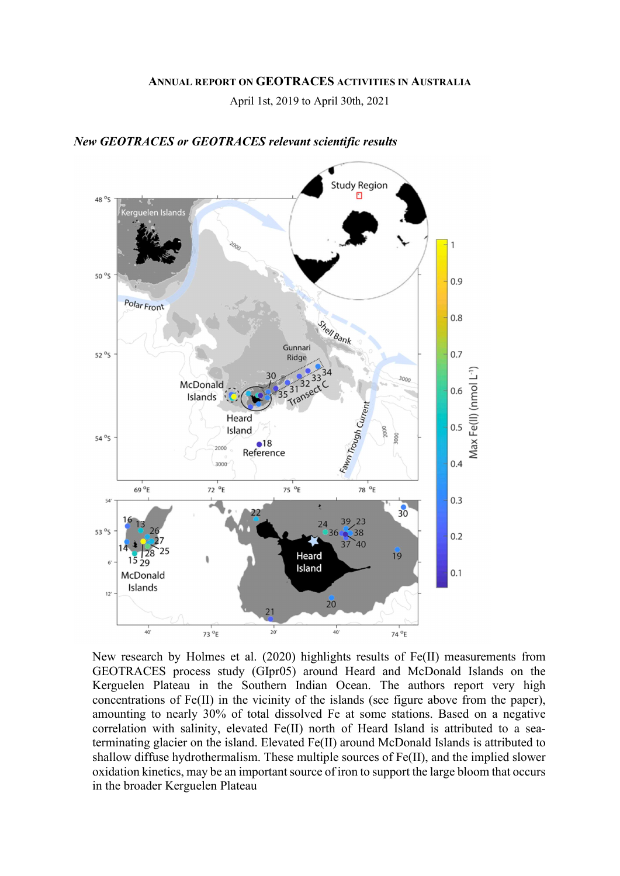#### ANNUAL REPORT ON GEOTRACES ACTIVITIES IN AUSTRALIA

April 1st, 2019 to April 30th, 2021



#### New GEOTRACES or GEOTRACES relevant scientific results

New research by Holmes et al. (2020) highlights results of Fe(II) measurements from GEOTRACES process study (GIpr05) around Heard and McDonald Islands on the Kerguelen Plateau in the Southern Indian Ocean. The authors report very high concentrations of Fe(II) in the vicinity of the islands (see figure above from the paper), amounting to nearly 30% of total dissolved Fe at some stations. Based on a negative correlation with salinity, elevated Fe(II) north of Heard Island is attributed to a seaterminating glacier on the island. Elevated Fe(II) around McDonald Islands is attributed to shallow diffuse hydrothermalism. These multiple sources of Fe(II), and the implied slower oxidation kinetics, may be an important source of iron to support the large bloom that occurs in the broader Kerguelen Plateau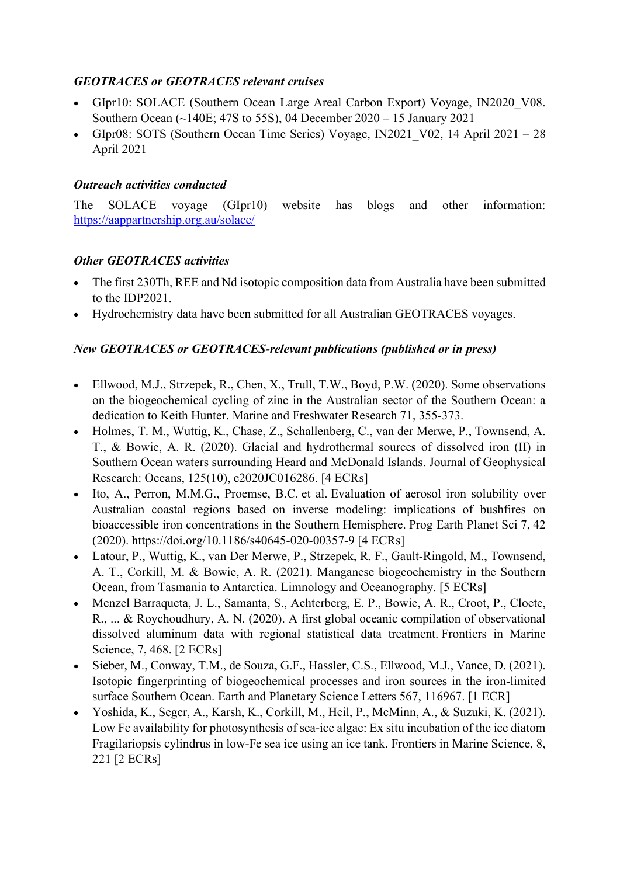# GEOTRACES or GEOTRACES relevant cruises

- GIpr10: SOLACE (Southern Ocean Large Areal Carbon Export) Voyage, IN2020\_V08. Southern Ocean (~140E; 47S to 55S), 04 December 2020 – 15 January 2021
- GIpr08: SOTS (Southern Ocean Time Series) Voyage, IN2021 V02, 14 April  $2021 28$ April 2021

# Outreach activities conducted

The SOLACE voyage (GIpr10) website has blogs and other information: https://aappartnership.org.au/solace/

## Other GEOTRACES activities

- The first 230Th, REE and Nd isotopic composition data from Australia have been submitted to the IDP2021.
- Hydrochemistry data have been submitted for all Australian GEOTRACES voyages.

# New GEOTRACES or GEOTRACES-relevant publications (published or in press)

- Ellwood, M.J., Strzepek, R., Chen, X., Trull, T.W., Boyd, P.W. (2020). Some observations on the biogeochemical cycling of zinc in the Australian sector of the Southern Ocean: a dedication to Keith Hunter. Marine and Freshwater Research 71, 355-373.
- Holmes, T. M., Wuttig, K., Chase, Z., Schallenberg, C., van der Merwe, P., Townsend, A. T., & Bowie, A. R. (2020). Glacial and hydrothermal sources of dissolved iron (II) in Southern Ocean waters surrounding Heard and McDonald Islands. Journal of Geophysical Research: Oceans, 125(10), e2020JC016286. [4 ECRs]
- Ito, A., Perron, M.M.G., Proemse, B.C. et al. Evaluation of aerosol iron solubility over Australian coastal regions based on inverse modeling: implications of bushfires on bioaccessible iron concentrations in the Southern Hemisphere. Prog Earth Planet Sci 7, 42 (2020). https://doi.org/10.1186/s40645-020-00357-9 [4 ECRs]
- Latour, P., Wuttig, K., van Der Merwe, P., Strzepek, R. F., Gault‐Ringold, M., Townsend, A. T., Corkill, M. & Bowie, A. R. (2021). Manganese biogeochemistry in the Southern Ocean, from Tasmania to Antarctica. Limnology and Oceanography. [5 ECRs]
- Menzel Barraqueta, J. L., Samanta, S., Achterberg, E. P., Bowie, A. R., Croot, P., Cloete, R., ... & Roychoudhury, A. N. (2020). A first global oceanic compilation of observational dissolved aluminum data with regional statistical data treatment. Frontiers in Marine Science, 7, 468. [2 ECRs]
- Sieber, M., Conway, T.M., de Souza, G.F., Hassler, C.S., Ellwood, M.J., Vance, D. (2021). Isotopic fingerprinting of biogeochemical processes and iron sources in the iron-limited surface Southern Ocean. Earth and Planetary Science Letters 567, 116967. [1 ECR]
- Yoshida, K., Seger, A., Karsh, K., Corkill, M., Heil, P., McMinn, A., & Suzuki, K. (2021). Low Fe availability for photosynthesis of sea-ice algae: Ex situ incubation of the ice diatom Fragilariopsis cylindrus in low-Fe sea ice using an ice tank. Frontiers in Marine Science, 8, 221 [2 ECRs]